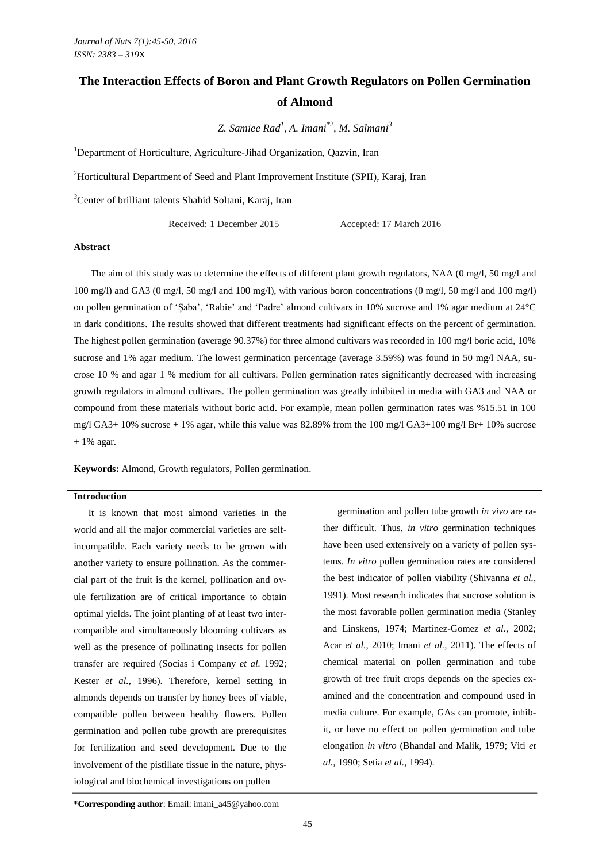# **The Interaction Effects of Boron and Plant Growth Regulators on Pollen Germination of Almond**

*Z. Samiee Rad<sup>1</sup> , A. Imani\*2 , M. Salmani<sup>3</sup>*

<sup>1</sup>Department of Horticulture, Agriculture-Jihad Organization, Oazvin, Iran

<sup>2</sup>Horticultural Department of Seed and Plant Improvement Institute (SPII), Karaj, Iran

*<sup>3</sup>*Center of brilliant talents Shahid Soltani, Karaj, Iran

Received: 1 December 2015 Accepted: 17 March 2016

#### **Abstract**

The aim of this study was to determine the effects of different plant growth regulators, NAA (0 mg/l, 50 mg/l and  $100 \text{ mg/l}$ ) and GA3 (0 mg/l, 50 mg/l and 100 mg/l), with various boron concentrations (0 mg/l, 50 mg/l and 100 mg/l) on pollen germination of 'Şaba', 'Rabie' and 'Padre' almond cultivars in 10% sucrose and 1% agar medium at 24°C in dark conditions. The results showed that different treatments had significant effects on the percent of germination. The highest pollen germination (average 90.37%) for three almond cultivars was recorded in 100 mg/l boric acid, 10% sucrose and 1% agar medium. The lowest germination percentage (average 3.59%) was found in 50 mg/l NAA, sucrose 10 % and agar 1 % medium for all cultivars. Pollen germination rates significantly decreased with increasing growth regulators in almond cultivars. The pollen germination was greatly inhibited in media with GA3 and NAA or compound from these materials without boric acid. For example, mean pollen germination rates was %15.51 in 100 mg/l GA3+ 10% sucrose + 1% agar, while this value was 82.89% from the 100 mg/l GA3+100 mg/l Br+ 10% sucrose  $+ 1\%$  agar.

**Keywords:** Almond, Growth regulators, Pollen germination.

#### **Introduction**

It is known that most almond varieties in the world and all the major commercial varieties are selfincompatible. Each variety needs to be grown with another variety to ensure pollination. As the commercial part of the fruit is the kernel, pollination and ovule fertilization are of critical importance to obtain optimal yields. The joint planting of at least two intercompatible and simultaneously blooming cultivars as well as the presence of pollinating insects for pollen transfer are required (Socias i Company *et al.* 1992; Kester *et al.,* 1996). Therefore, kernel setting in almonds depends on transfer by honey bees of viable, compatible pollen between healthy flowers. Pollen germination and pollen tube growth are prerequisites for fertilization and seed development. Due to the involvement of the pistillate tissue in the nature, physiological and biochemical investigations on pollen

germination and pollen tube growth *in vivo* are rather difficult. Thus, *in vitro* germination techniques have been used extensively on a variety of pollen systems. *In vitro* pollen germination rates are considered the best indicator of pollen viability (Shivanna *et al.,* 1991). Most research indicates that sucrose solution is the most favorable pollen germination media (Stanley and Linskens, 1974; Martinez-Gomez *et al.,* 2002; Acar *et al.,* 2010; Imani *et al.,* 2011). The effects of chemical material on pollen germination and tube growth of tree fruit crops depends on the species examined and the concentration and compound used in media culture. For example, GAs can promote, inhibit, or have no effect on pollen germination and tube elongation *in vitro* (Bhandal and Malik, 1979; Viti *et al.,* 1990; Setia *et al.,* 1994).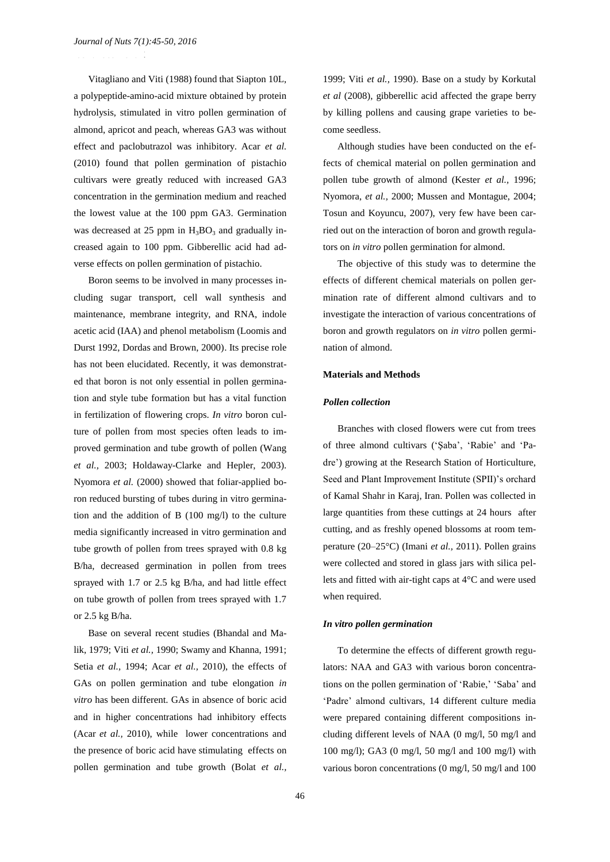.<br><del>2393 - 3394 - 3395 - 3395</del>

Vitagliano and Viti (1988) found that Siapton 10L, a polypeptide-amino-acid mixture obtained by protein hydrolysis, stimulated in vitro pollen germination of almond, apricot and peach, whereas GA3 was without effect and paclobutrazol was inhibitory. Acar *et al.* (2010) found that pollen germination of pistachio cultivars were greatly reduced with increased GA3 concentration in the germination medium and reached the lowest value at the 100 ppm GA3. Germination was decreased at 25 ppm in  $H_3BO_3$  and gradually increased again to 100 ppm. Gibberellic acid had adverse effects on pollen germination of pistachio.

Boron seems to be involved in many processes including sugar transport, cell wall synthesis and maintenance, membrane integrity, and RNA, indole acetic acid (IAA) and phenol metabolism (Loomis and Durst 1992, Dordas and Brown, 2000). Its precise role has not been elucidated. Recently, it was demonstrated that boron is not only essential in pollen germination and style tube formation but has a vital function in fertilization of flowering crops. *In vitro* boron culture of pollen from most species often leads to improved germination and tube growth of pollen (Wang *et al.,* 2003; Holdaway-Clarke and Hepler, 2003). Nyomora *et al.* (2000) showed that foliar-applied boron reduced bursting of tubes during in vitro germination and the addition of B (100 mg/l) to the culture media significantly increased in vitro germination and tube growth of pollen from trees sprayed with 0.8 kg B/ha, decreased germination in pollen from trees sprayed with 1.7 or 2.5 kg B/ha, and had little effect on tube growth of pollen from trees sprayed with 1.7 or 2.5 kg B/ha.

Base on several recent studies (Bhandal and Malik, 1979; Viti *et al.,* 1990; Swamy and Khanna, 1991; Setia *et al.,* 1994; Acar *et al.,* 2010), the effects of GAs on pollen germination and tube elongation *in vitro* has been different. GAs in absence of boric acid and in higher concentrations had inhibitory effects (Acar *et al.,* 2010), while lower concentrations and the presence of boric acid have stimulating effects on pollen germination and tube growth (Bolat *et al.,*

1999; Viti *et al.,* 1990). Base on a study by Korkutal *et al* (2008), gibberellic acid affected the grape berry by killing pollens and causing grape varieties to become seedless.

Although studies have been conducted on the effects of chemical material on pollen germination and pollen tube growth of almond (Kester *et al.,* 1996; Nyomora, *et al.,* 2000; Mussen and Montague, 2004; Tosun and Koyuncu, 2007), very few have been carried out on the interaction of boron and growth regulators on *in vitro* pollen germination for almond.

The objective of this study was to determine the effects of different chemical materials on pollen germination rate of different almond cultivars and to investigate the interaction of various concentrations of boron and growth regulators on *in vitro* pollen germination of almond.

#### **Materials and Methods**

### *Pollen collection*

Branches with closed flowers were cut from trees of three almond cultivars ('Şaba', 'Rabie' and 'Padre') growing at the Research Station of Horticulture, Seed and Plant Improvement Institute (SPII)'s orchard of Kamal Shahr in Karaj, Iran. Pollen was collected in large quantities from these cuttings at 24 hours after cutting, and as freshly opened blossoms at room temperature (20–25°C) (Imani *et al.,* 2011). Pollen grains were collected and stored in glass jars with silica pellets and fitted with air-tight caps at 4°C and were used when required.

#### *In vitro pollen germination*

To determine the effects of different growth regulators: NAA and GA3 with various boron concentrations on the pollen germination of 'Rabie,' 'Saba' and 'Padre' almond cultivars, 14 different culture media were prepared containing different compositions including different levels of NAA (0 mg/l, 50 mg/l and 100 mg/l); GA3 (0 mg/l, 50 mg/l and 100 mg/l) with various boron concentrations (0 mg/l, 50 mg/l and 100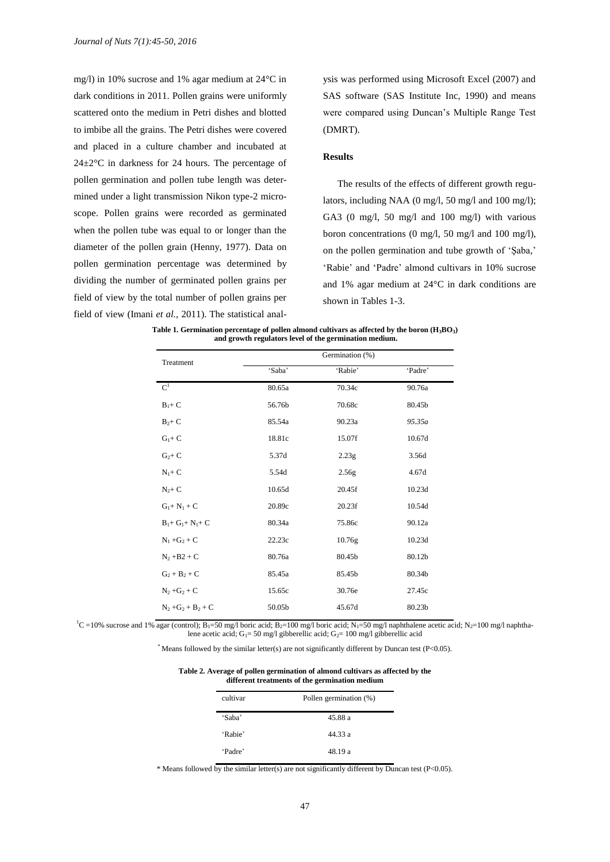mg/l) in 10% sucrose and 1% agar medium at 24°C in dark conditions in 2011. Pollen grains were uniformly scattered onto the medium in Petri dishes and blotted to imbibe all the grains. The Petri dishes were covered and placed in a culture chamber and incubated at  $24\pm2\degree$ C in darkness for 24 hours. The percentage of pollen germination and pollen tube length was determined under a light transmission Nikon type-2 microscope. Pollen grains were recorded as germinated when the pollen tube was equal to or longer than the diameter of the pollen grain (Henny, 1977). Data on pollen germination percentage was determined by dividing the number of germinated pollen grains per field of view by the total number of pollen grains per field of view (Imani *et al.,* 2011). The statistical anal-

ysis was performed using Microsoft Excel (2007) and SAS software (SAS Institute Inc, 1990) and means were compared using Duncan's Multiple Range Test (DMRT).

# **Results**

The results of the effects of different growth regulators, including NAA (0 mg/l, 50 mg/l and 100 mg/l); GA3 (0 mg/l, 50 mg/l and 100 mg/l) with various boron concentrations (0 mg/l, 50 mg/l and 100 mg/l), on the pollen germination and tube growth of 'Şaba,' 'Rabie' and 'Padre' almond cultivars in 10% sucrose and 1% agar medium at 24°C in dark conditions are shown in Tables 1-3.

**Table 1. Germination percentage of pollen almond cultivars as affected by the boron (H3BO3) and growth regulators level of the germination medium.**

| Treatment             | Germination (%) |         |         |
|-----------------------|-----------------|---------|---------|
|                       | 'Saba'          | 'Rabie' | 'Padre' |
| $C^1$                 | 80.65a          | 70.34c  | 90.76a  |
| $B_1+C$               | 56.76b          | 70.68c  | 80.45b  |
| $B_2+C$               | 85.54a          | 90.23a  | 95.35a  |
| $G_1 + C$             | 18.81c          | 15.07f  | 10.67d  |
| $G_2+C$               | 5.37d           | 2.23g   | 3.56d   |
| $N_1 + C$             | 5.54d           | 2.56g   | 4.67d   |
| $N_2+C$               | 10.65d          | 20.45f  | 10.23d  |
| $G_1 + N_1 + C$       | 20.89c          | 20.23f  | 10.54d  |
| $B_1 + G_1 + N_1 + C$ | 80.34a          | 75.86c  | 90.12a  |
| $N_1 + G_2 + C$       | 22.23c          | 10.76g  | 10.23d  |
| $N_2 + B2 + C$        | 80.76a          | 80.45b  | 80.12b  |
| $G_2 + B_2 + C$       | 85.45a          | 85.45b  | 80.34b  |
| $N_2 + G_2 + C$       | 15.65c          | 30.76e  | 27.45c  |
| $N_2 + G_2 + B_2 + C$ | 50.05b          | 45.67d  | 80.23b  |

 ${}^{1}C$  =10% sucrose and 1% agar (control); B<sub>1</sub>=50 mg/l boric acid; B<sub>2</sub>=100 mg/l boric acid; N<sub>1</sub>=50 mg/l naphthalene acetic acid; N<sub>2</sub>=100 mg/l naphthalene acetic acid; G<sub>1</sub>= 50 mg/l gibberellic acid; G<sub>2</sub>= 100 mg/l gibberellic acid

 $*$  Means followed by the similar letter(s) are not significantly different by Duncan test (P<0.05).

| different treatments of the germination medium |                        |  |
|------------------------------------------------|------------------------|--|
| cultivar                                       | Pollen germination (%) |  |
| 'Saba'                                         | 45.88 a                |  |
| 'Rabie'                                        | 44 33 a                |  |
| 'Padre'                                        | 48.19 a                |  |

**Table 2. Average of pollen germination of almond cultivars as affected by the** 

\* Means followed by the similar letter(s) are not significantly different by Duncan test (P<0.05).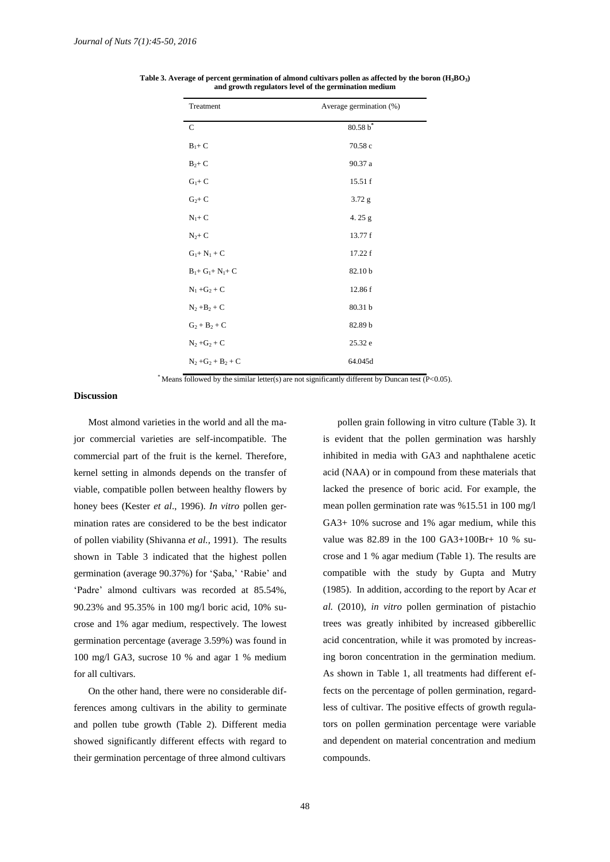| Treatment             | Average germination (%) |  |
|-----------------------|-------------------------|--|
| $\mathbf C$           | $80.58 b^*$             |  |
| $B_1+C$               | 70.58 c                 |  |
| $B_2+C$               | 90.37 a                 |  |
| $G_1 + C$             | 15.51 f                 |  |
| $G_2+C$               | $3.72$ g                |  |
| $N_1 + C$             | 4.25 $g$                |  |
| $N_2+C$               | 13.77 f                 |  |
| $G_1 + N_1 + C$       | 17.22 f                 |  |
| $B_1 + G_1 + N_1 + C$ | 82.10 b                 |  |
| $N_1 + G_2 + C$       | 12.86 f                 |  |
| $N_2 + B_2 + C$       | 80.31 b                 |  |
| $G_2 + B_2 + C$       | 82.89 b                 |  |
| $N_2 + G_2 + C$       | 25.32 e                 |  |
| $N_2 + G_2 + B_2 + C$ | 64.045d                 |  |

**Table 3. Average of percent germination of almond cultivars pollen as affected by the boron (H3BO3) and growth regulators level of the germination medium**

\* Means followed by the similar letter(s) are not significantly different by Duncan test (P<0.05).

## **Discussion**

Most almond varieties in the world and all the major commercial varieties are self-incompatible. The commercial part of the fruit is the kernel. Therefore, kernel setting in almonds depends on the transfer of viable, compatible pollen between healthy flowers by honey bees (Kester *et al*., 1996). *In vitro* pollen germination rates are considered to be the best indicator of pollen viability (Shivanna *et al.,* 1991). The results shown in Table 3 indicated that the highest pollen germination (average 90.37%) for 'Şaba,' 'Rabie' and 'Padre' almond cultivars was recorded at 85.54%, 90.23% and 95.35% in 100 mg/l boric acid, 10% sucrose and 1% agar medium, respectively. The lowest germination percentage (average 3.59%) was found in 100 mg/l GA3, sucrose 10 % and agar 1 % medium for all cultivars.

On the other hand, there were no considerable differences among cultivars in the ability to germinate and pollen tube growth (Table 2). Different media showed significantly different effects with regard to their germination percentage of three almond cultivars

pollen grain following in vitro culture (Table 3). It is evident that the pollen germination was harshly inhibited in media with GA3 and naphthalene acetic acid (NAA) or in compound from these materials that lacked the presence of boric acid. For example, the mean pollen germination rate was %15.51 in 100 mg/l GA3+ 10% sucrose and 1% agar medium, while this value was 82.89 in the 100 GA3+100Br+ 10 % sucrose and 1 % agar medium (Table 1). The results are compatible with the study by Gupta and Mutry (1985). In addition, according to the report by Acar *et al.* (2010), *in vitro* pollen germination of pistachio trees was greatly inhibited by increased gibberellic acid concentration, while it was promoted by increasing boron concentration in the germination medium. As shown in Table 1, all treatments had different effects on the percentage of pollen germination, regardless of cultivar. The positive effects of growth regulators on pollen germination percentage were variable and dependent on material concentration and medium compounds.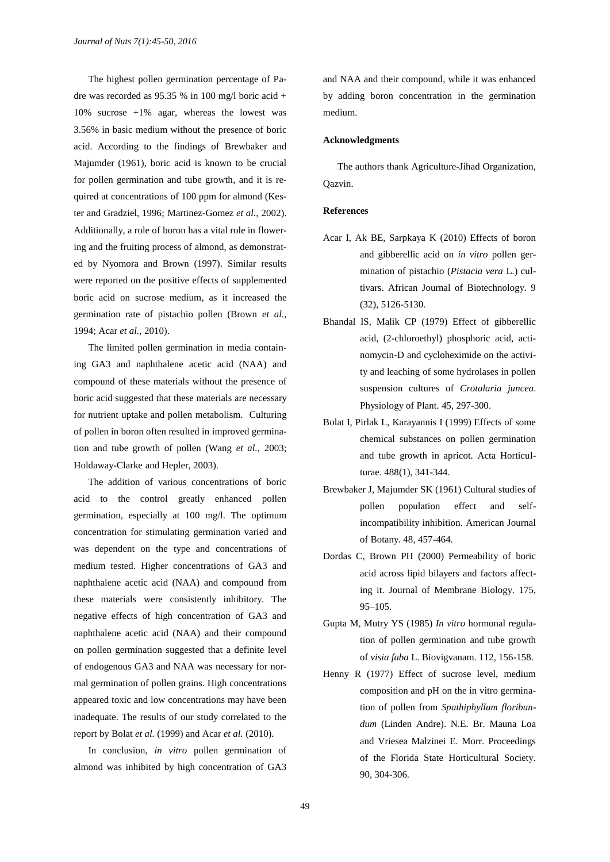The highest pollen germination percentage of Padre was recorded as  $95.35 %$  in 100 mg/l boric acid + 10% sucrose +1% agar, whereas the lowest was 3.56% in basic medium without the presence of boric acid. According to the findings of Brewbaker and Majumder (1961), boric acid is known to be crucial for pollen germination and tube growth, and it is required at concentrations of 100 ppm for almond (Kester and Gradziel, 1996; Martinez-Gomez *et al.,* 2002). Additionally, a role of boron has a vital role in flowering and the fruiting process of almond, as demonstrated by Nyomora and Brown (1997). Similar results were reported on the positive effects of supplemented boric acid on sucrose medium, as it increased the germination rate of pistachio pollen (Brown *et al.,* 1994; Acar *et al.,* 2010).

The limited pollen germination in media containing GA3 and naphthalene acetic acid (NAA) and compound of these materials without the presence of boric acid suggested that these materials are necessary for nutrient uptake and pollen metabolism. Culturing of pollen in boron often resulted in improved germination and tube growth of pollen (Wang *et al.,* 2003; Holdaway-Clarke and Hepler, 2003).

The addition of various concentrations of boric acid to the control greatly enhanced pollen germination, especially at 100 mg/l. The optimum concentration for stimulating germination varied and was dependent on the type and concentrations of medium tested. Higher concentrations of GA3 and naphthalene acetic acid (NAA) and compound from these materials were consistently inhibitory. The negative effects of high concentration of GA3 and naphthalene acetic acid (NAA) and their compound on pollen germination suggested that a definite level of endogenous GA3 and NAA was necessary for normal germination of pollen grains. High concentrations appeared toxic and low concentrations may have been inadequate. The results of our study correlated to the report by Bolat *et al.* (1999) and Acar *et al.* (2010).

In conclusion, *in vitro* pollen germination of almond was inhibited by high concentration of GA3

and NAA and their compound, while it was enhanced by adding boron concentration in the germination medium.

#### **Acknowledgments**

The authors thank Agriculture-Jihad Organization, Qazvin.

# **References**

- Acar I, Ak BE, Sarpkaya K (2010) Effects of boron and gibberellic acid on *in vitro* pollen germination of pistachio (*Pistacia vera* L.) cultivars. African Journal of Biotechnology. 9 (32), 5126-5130.
- Bhandal IS, Malik CP (1979) Effect of gibberellic acid, (2-chloroethyl) phosphoric acid, actinomycin-D and cycloheximide on the activity and leaching of some hydrolases in pollen suspension cultures of *Crotalaria juncea*. Physiology of Plant. 45, 297-300.
- Bolat I, Pirlak L, Karayannis I (1999) Effects of some chemical substances on pollen germination and tube growth in apricot. Acta Horticulturae. 488(1), 341-344.
- Brewbaker J, Majumder SK (1961) Cultural studies of pollen population effect and selfincompatibility inhibition. American Journal of Botany. 48, 457-464.
- Dordas C, Brown PH (2000) Permeability of boric acid across lipid bilayers and factors affecting it. Journal of Membrane Biology. 175, 95–105.
- Gupta M, Mutry YS (1985) *In vitro* hormonal regulation of pollen germination and tube growth of *visia faba* L. Biovigvanam. 112, 156-158.
- Henny R (1977) Effect of sucrose level, medium composition and pH on the in vitro germination of pollen from *Spathiphyllum floribundum* (Linden Andre). N.E. Br. Mauna Loa and Vriesea Malzinei E. Morr. Proceedings of the Florida State Horticultural Society. 90, 304-306.